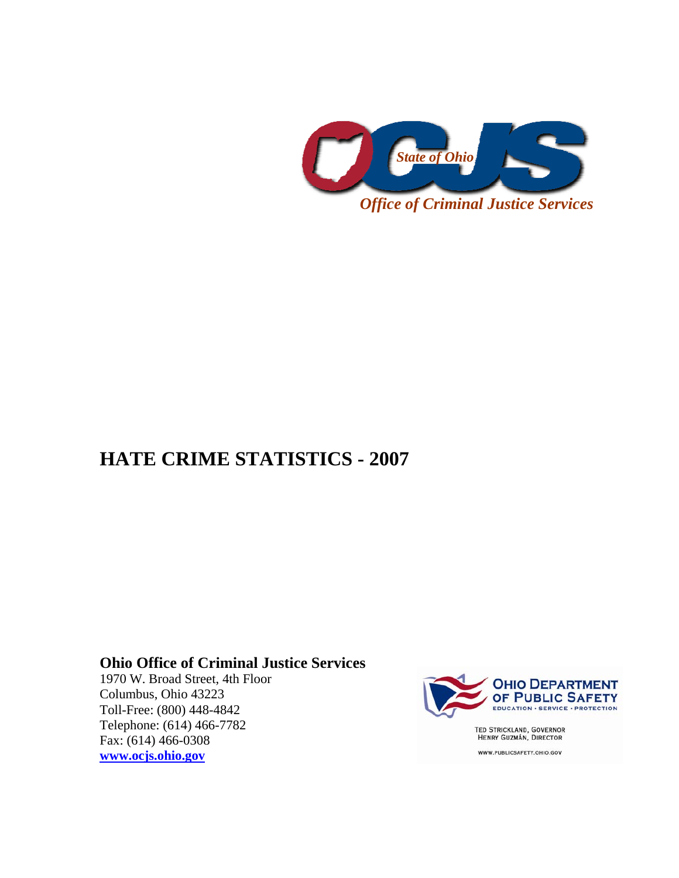

## **HATE CRIME STATISTICS - 2007**

## **Ohio Office of Criminal Justice Services**

1970 W. Broad Street, 4th Floor Columbus, Ohio 43223 Toll-Free: (800) 448-4842 Telephone: (614) 466-7782 Fax: (614) 466-0308 **[www.ocjs.ohio.gov](http://www.ocjs.ohio.gov/)**



TED STRICKLAND, GOVERNOR<br>HENRY GUZMÁN, DIRECTOR

WWW.PUBLICSAFETY.OHIO.GOV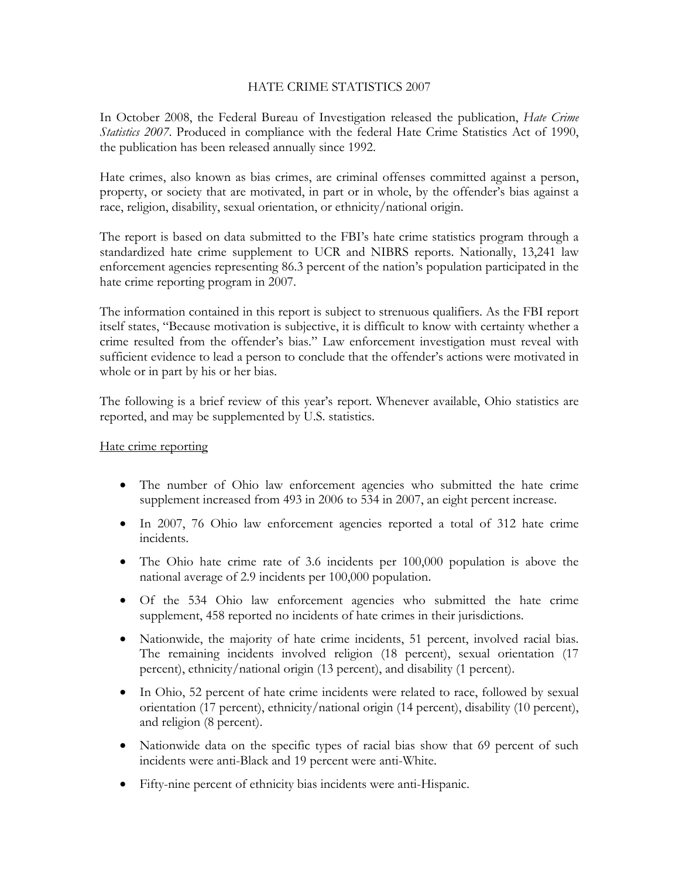## HATE CRIME STATISTICS 2007

In October 2008, the Federal Bureau of Investigation released the publication, *Hate Crime Statistics 2007*. Produced in compliance with the federal Hate Crime Statistics Act of 1990, the publication has been released annually since 1992.

Hate crimes, also known as bias crimes, are criminal offenses committed against a person, property, or society that are motivated, in part or in whole, by the offender's bias against a race, religion, disability, sexual orientation, or ethnicity/national origin.

The report is based on data submitted to the FBI's hate crime statistics program through a standardized hate crime supplement to UCR and NIBRS reports. Nationally, 13,241 law enforcement agencies representing 86.3 percent of the nation's population participated in the hate crime reporting program in 2007.

The information contained in this report is subject to strenuous qualifiers. As the FBI report itself states, "Because motivation is subjective, it is difficult to know with certainty whether a crime resulted from the offender's bias." Law enforcement investigation must reveal with sufficient evidence to lead a person to conclude that the offender's actions were motivated in whole or in part by his or her bias.

The following is a brief review of this year's report. Whenever available, Ohio statistics are reported, and may be supplemented by U.S. statistics.

## Hate crime reporting

- The number of Ohio law enforcement agencies who submitted the hate crime supplement increased from 493 in 2006 to 534 in 2007, an eight percent increase.
- In 2007, 76 Ohio law enforcement agencies reported a total of 312 hate crime incidents.
- The Ohio hate crime rate of 3.6 incidents per 100,000 population is above the national average of 2.9 incidents per 100,000 population.
- Of the 534 Ohio law enforcement agencies who submitted the hate crime supplement, 458 reported no incidents of hate crimes in their jurisdictions.
- Nationwide, the majority of hate crime incidents, 51 percent, involved racial bias. The remaining incidents involved religion (18 percent), sexual orientation (17 percent), ethnicity/national origin (13 percent), and disability (1 percent).
- In Ohio, 52 percent of hate crime incidents were related to race, followed by sexual orientation (17 percent), ethnicity/national origin (14 percent), disability (10 percent), and religion (8 percent).
- Nationwide data on the specific types of racial bias show that 69 percent of such incidents were anti-Black and 19 percent were anti-White.
- Fifty-nine percent of ethnicity bias incidents were anti-Hispanic.